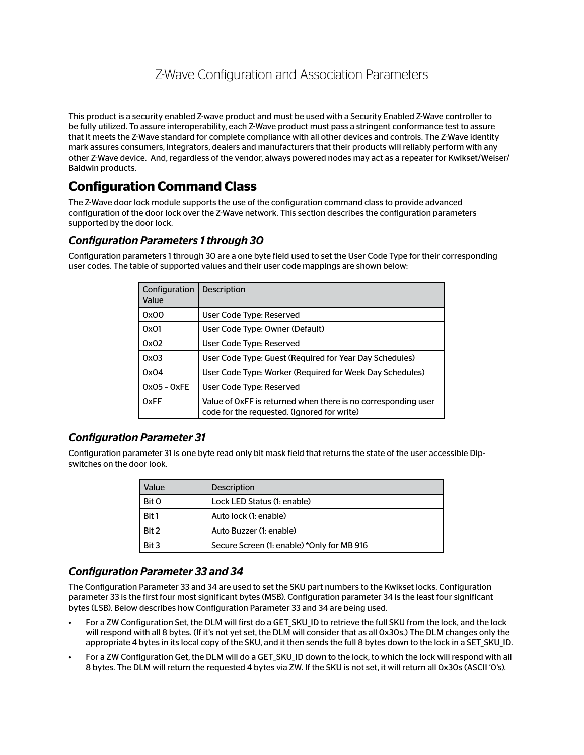# Z-Wave Configuration and Association Parameters

This product is a security enabled Z-wave product and must be used with a Security Enabled Z-Wave controller to be fully utilized. To assure interoperability, each Z-Wave product must pass a stringent conformance test to assure that it meets the Z-Wave standard for complete compliance with all other devices and controls. The Z-Wave identity mark assures consumers, integrators, dealers and manufacturers that their products will reliably perform with any other Z-Wave device. And, regardless of the vendor, always powered nodes may act as a repeater for Kwikset/Weiser/ Baldwin products.

## **Configuration Command Class**

The Z-Wave door lock module supports the use of the configuration command class to provide advanced configuration of the door lock over the Z-Wave network. This section describes the configuration parameters supported by the door lock.

## *Configuration Parameters 1 through 30*

Configuration parameters 1 through 30 are a one byte field used to set the User Code Type for their corresponding user codes. The table of supported values and their user code mappings are shown below:

| Configuration<br>Value | <b>Description</b>                                                                                           |
|------------------------|--------------------------------------------------------------------------------------------------------------|
| 0x00                   | User Code Type: Reserved                                                                                     |
| 0x01                   | User Code Type: Owner (Default)                                                                              |
| 0x02                   | User Code Type: Reserved                                                                                     |
| 0x03                   | User Code Type: Guest (Required for Year Day Schedules)                                                      |
| 0x04                   | User Code Type: Worker (Required for Week Day Schedules)                                                     |
| $0x05 - 0xFE$          | User Code Type: Reserved                                                                                     |
| <b>OxFF</b>            | Value of OxFF is returned when there is no corresponding user<br>code for the requested. (Ignored for write) |

### *Configuration Parameter 31*

Configuration parameter 31 is one byte read only bit mask field that returns the state of the user accessible Dipswitches on the door look.

| Value | Description                                |
|-------|--------------------------------------------|
| Bit O | Lock LED Status (1: enable)                |
| Bit 1 | Auto lock (1: enable)                      |
| Bit 2 | Auto Buzzer (1: enable)                    |
| Bit 3 | Secure Screen (1: enable) *Only for MB 916 |

### *Configuration Parameter 33 and 34*

The Configuration Parameter 33 and 34 are used to set the SKU part numbers to the Kwikset locks. Configuration parameter 33 is the first four most significant bytes (MSB). Configuration parameter 34 is the least four significant bytes (LSB). Below describes how Configuration Parameter 33 and 34 are being used.

- For a ZW Configuration Set, the DLM will first do a GET SKU ID to retrieve the full SKU from the lock, and the lock will respond with all 8 bytes. (If it's not yet set, the DLM will consider that as all 0x30s.) The DLM changes only the appropriate 4 bytes in its local copy of the SKU, and it then sends the full 8 bytes down to the lock in a SET\_SKU\_ID.
- For a ZW Configuration Get, the DLM will do a GET SKU ID down to the lock, to which the lock will respond with all 8 bytes. The DLM will return the requested 4 bytes via ZW. If the SKU is not set, it will return all 0x30s (ASCII '0's).